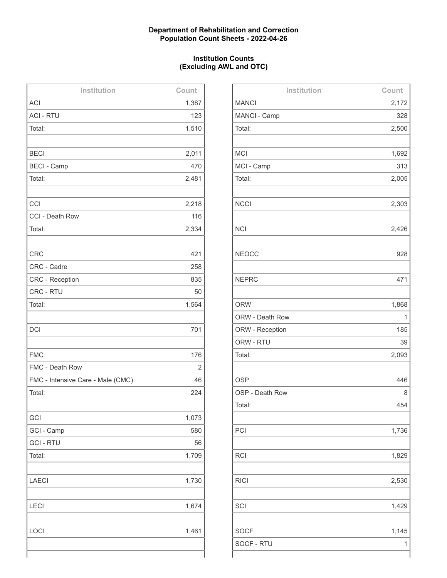# **Department of Rehabilitation and Correction Population Count Sheets - 2022-04-26**

# **Institution Counts (Excluding AWL and OTC)**

| Institution                       | Count |
|-----------------------------------|-------|
| <b>ACI</b>                        | 1,387 |
| <b>ACI - RTU</b>                  | 123   |
| Total:                            | 1,510 |
|                                   |       |
| <b>BECI</b>                       | 2,011 |
| <b>BECI - Camp</b>                | 470   |
| Total:                            | 2,481 |
|                                   |       |
| CCI                               | 2,218 |
| CCI - Death Row                   | 116   |
| Total:                            | 2,334 |
|                                   |       |
| <b>CRC</b>                        | 421   |
| CRC - Cadre                       | 258   |
| <b>CRC - Reception</b>            | 835   |
| CRC - RTU                         | 50    |
| Total:                            | 1,564 |
|                                   |       |
| <b>DCI</b>                        | 701   |
|                                   |       |
| <b>FMC</b>                        | 176   |
| FMC - Death Row                   | 2     |
| FMC - Intensive Care - Male (CMC) | 46    |
| Total:                            | 224   |
|                                   |       |
| GCI                               | 1,073 |
| GCI - Camp                        | 580   |
| <b>GCI - RTU</b>                  | 56    |
| Total:                            | 1,709 |
|                                   |       |
| <b>LAECI</b>                      | 1,730 |
|                                   |       |
| LECI                              | 1,674 |
|                                   |       |
| LOCI                              | 1,461 |
|                                   |       |
|                                   |       |

| Institution     | Count |
|-----------------|-------|
| <b>MANCI</b>    | 2,172 |
| MANCI - Camp    | 328   |
| Total:          | 2,500 |
|                 |       |
| <b>MCI</b>      | 1,692 |
| MCI - Camp      | 313   |
| Total:          | 2,005 |
|                 |       |
| <b>NCCI</b>     | 2,303 |
|                 |       |
| <b>NCI</b>      | 2,426 |
|                 |       |
| <b>NEOCC</b>    | 928   |
|                 |       |
| <b>NEPRC</b>    | 471   |
|                 |       |
| <b>ORW</b>      | 1,868 |
| ORW - Death Row | 1     |
| ORW - Reception | 185   |
| ORW - RTU       | 39    |
| Total:          | 2,093 |
|                 |       |
| <b>OSP</b>      | 446   |
| OSP - Death Row | 8     |
| Total:          | 454   |
|                 |       |
| PCI             | 1,736 |
|                 |       |
| <b>RCI</b>      | 1,829 |
|                 |       |
| <b>RICI</b>     | 2,530 |
|                 |       |
| SCI             | 1,429 |
|                 |       |
| <b>SOCF</b>     | 1,145 |
| SOCF - RTU      | 1     |
|                 |       |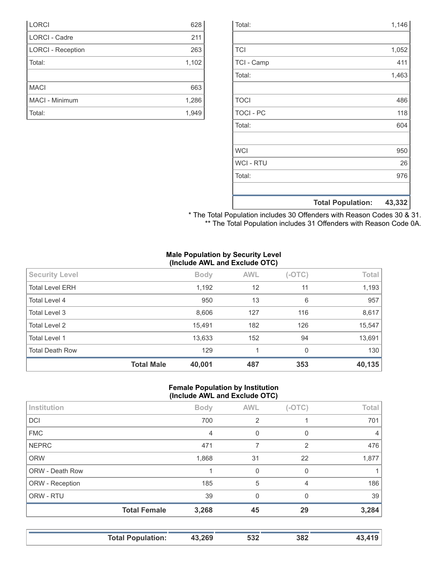|                  | <b>Total Population:</b> | 43,332 |
|------------------|--------------------------|--------|
|                  |                          |        |
| Total:           |                          | 976    |
| <b>WCI-RTU</b>   |                          | 26     |
| <b>WCI</b>       |                          | 950    |
|                  |                          |        |
| Total:           |                          | 604    |
| <b>TOCI - PC</b> |                          | 118    |
| <b>TOCI</b>      |                          | 486    |
|                  |                          |        |
| Total:           |                          | 1,463  |
| TCI - Camp       |                          | 411    |
| <b>TCI</b>       |                          | 1,052  |
|                  |                          |        |
| Total:           |                          | 1,146  |

| * The Total Population includes 30 Offenders with Reason Codes 30 & 31. |  |  |  |
|-------------------------------------------------------------------------|--|--|--|
| ** The Total Population includes 31 Offenders with Reason Code 0A.      |  |  |  |

### **Male Population by Security Level (Include AWL and Exclude OTC)**

| <b>Security Level</b>  |                   | <b>Body</b> | <b>AWL</b> | $(-OTC)$ | Total  |
|------------------------|-------------------|-------------|------------|----------|--------|
| <b>Total Level ERH</b> |                   | 1,192       | 12         | 11       | 1,193  |
| Total Level 4          |                   | 950         | 13         | 6        | 957    |
| Total Level 3          |                   | 8,606       | 127        | 116      | 8,617  |
| Total Level 2          |                   | 15,491      | 182        | 126      | 15,547 |
| <b>Total Level 1</b>   |                   | 13,633      | 152        | 94       | 13,691 |
| <b>Total Death Row</b> |                   | 129         |            | 0        | 130    |
|                        | <b>Total Male</b> | 40,001      | 487        | 353      | 40,135 |

### **Female Population by Institution (Include AWL and Exclude OTC)**

| Institution     |                     | <b>Body</b>    | <b>AWL</b> | $(-OTC)$       | Total          |
|-----------------|---------------------|----------------|------------|----------------|----------------|
| <b>DCI</b>      |                     | 700            | 2          |                | 701            |
| <b>FMC</b>      |                     | $\overline{4}$ | $\Omega$   | $\Omega$       | $\overline{4}$ |
| <b>NEPRC</b>    |                     | 471            | 7          | $\overline{2}$ | 476            |
| <b>ORW</b>      |                     | 1,868          | 31         | 22             | 1,877          |
| ORW - Death Row |                     |                | $\Omega$   | $\Omega$       |                |
| ORW - Reception |                     | 185            | 5          | 4              | 186            |
| ORW - RTU       |                     | 39             | $\Omega$   | 0              | 39             |
|                 | <b>Total Female</b> | 3,268          | 45         | 29             | 3,284          |
|                 |                     |                |            |                |                |

|  | <b>Total Population:</b><br><b>IVWII</b> PPUINTUIII | 43,269 | 532 | 382 |  |
|--|-----------------------------------------------------|--------|-----|-----|--|
|--|-----------------------------------------------------|--------|-----|-----|--|

| <b>LORCI</b>             | 628   |
|--------------------------|-------|
| <b>LORCI - Cadre</b>     | 211   |
| <b>LORCI - Reception</b> | 263   |
| Total:                   | 1,102 |
|                          |       |
| <b>MACI</b>              | 663   |
|                          |       |
| MACI - Minimum           | 1,286 |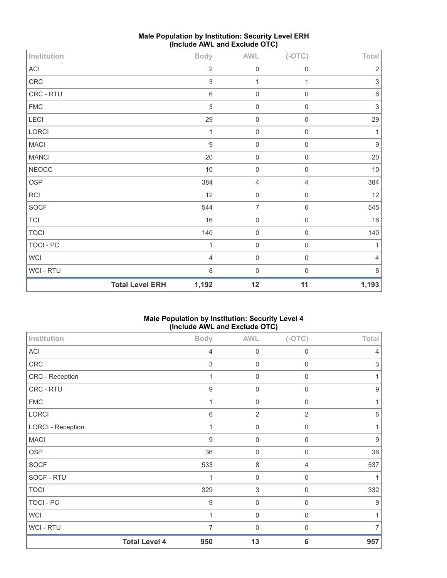| Institution  |                        | <b>Body</b>               | <b>AWL</b>     | $(-OTC)$            | Total                     |
|--------------|------------------------|---------------------------|----------------|---------------------|---------------------------|
| ACI          |                        | $\sqrt{2}$                | $\mathbf 0$    | $\mathbf 0$         | $\sqrt{2}$                |
| ${\sf CRC}$  |                        | $\sqrt{3}$                | 1              | 1                   | $\sqrt{3}$                |
| CRC - RTU    |                        | $\,6\,$                   | $\mathbf 0$    | $\mathbf 0$         | $\,6\,$                   |
| <b>FMC</b>   |                        | $\ensuremath{\mathsf{3}}$ | $\mathbf 0$    | $\mathbf 0$         | $\ensuremath{\mathsf{3}}$ |
| LECI         |                        | 29                        | $\mathbf 0$    | $\mathbf 0$         | 29                        |
| LORCI        |                        | 1                         | $\mathbf 0$    | $\boldsymbol{0}$    | 1                         |
| <b>MACI</b>  |                        | $\boldsymbol{9}$          | $\mathbf 0$    | $\mathsf{O}\xspace$ | $\boldsymbol{9}$          |
| <b>MANCI</b> |                        | 20                        | $\mathbf 0$    | $\mathsf{O}\xspace$ | $20\,$                    |
| <b>NEOCC</b> |                        | $10$                      | $\mathbf 0$    | $\mathsf 0$         | $10$                      |
| <b>OSP</b>   |                        | 384                       | $\overline{4}$ | $\overline{4}$      | 384                       |
| RCI          |                        | 12                        | $\mathbf 0$    | $\mathsf{O}\xspace$ | 12                        |
| SOCF         |                        | 544                       | $\overline{7}$ | $\,6\,$             | 545                       |
| <b>TCI</b>   |                        | 16                        | $\mathbf 0$    | $\mathsf{O}\xspace$ | 16                        |
| <b>TOCI</b>  |                        | 140                       | $\mathbf 0$    | $\mathsf{O}\xspace$ | 140                       |
| TOCI - PC    |                        | 1                         | $\mathbf 0$    | $\mathsf{O}\xspace$ | $\mathbf{1}$              |
| WCI          |                        | $\overline{4}$            | $\mathbf 0$    | $\mathsf{O}\xspace$ | $\overline{4}$            |
| WCI - RTU    |                        | $\,8\,$                   | $\mathbf 0$    | $\boldsymbol{0}$    | 8                         |
|              | <b>Total Level ERH</b> | 1,192                     | 12             | 11                  | 1,193                     |

# **Male Population by Institution: Security Level ERH (Include AWL and Exclude OTC)**

# **Male Population by Institution: Security Level 4 (Include AWL and Exclude OTC)**

| Institution              |                      | <b>Body</b>      | <b>AWL</b>                | $(-OTC)$        | Total            |
|--------------------------|----------------------|------------------|---------------------------|-----------------|------------------|
| ACI                      |                      | $\overline{4}$   | $\mathbf 0$               | $\mathbf 0$     | 4                |
| CRC                      |                      | $\sqrt{3}$       | $\mathbf 0$               | $\mathbf 0$     | 3                |
| CRC - Reception          |                      | 1                | $\mathbf 0$               | $\mathbf 0$     | 1                |
| CRC - RTU                |                      | $\boldsymbol{9}$ | $\mathbf 0$               | $\mathbf 0$     | $\boldsymbol{9}$ |
| <b>FMC</b>               |                      | 1                | $\mathbf 0$               | $\mathbf 0$     | 1                |
| LORCI                    |                      | 6                | $\overline{2}$            | $\overline{2}$  | $6\,$            |
| <b>LORCI - Reception</b> |                      | 1                | $\mathbf 0$               | $\mathbf 0$     | 1                |
| <b>MACI</b>              |                      | $\boldsymbol{9}$ | $\mathbf 0$               | $\mathbf 0$     | $\boldsymbol{9}$ |
| <b>OSP</b>               |                      | 36               | $\mathbf 0$               | $\mathbf 0$     | 36               |
| <b>SOCF</b>              |                      | 533              | $\,8\,$                   | $\overline{4}$  | 537              |
| SOCF - RTU               |                      | 1                | $\mathbf 0$               | $\mathbf 0$     | 1                |
| <b>TOCI</b>              |                      | 329              | $\ensuremath{\mathsf{3}}$ | $\mathbf 0$     | 332              |
| <b>TOCI - PC</b>         |                      | $\boldsymbol{9}$ | $\mathbf 0$               | $\mathbf 0$     | 9                |
| <b>WCI</b>               |                      | 1                | $\mathbf 0$               | $\mathbf 0$     | 1                |
| <b>WCI-RTU</b>           |                      | 7                | $\boldsymbol{0}$          | $\mathbf 0$     | 7                |
|                          | <b>Total Level 4</b> | 950              | 13                        | $6\phantom{1}6$ | 957              |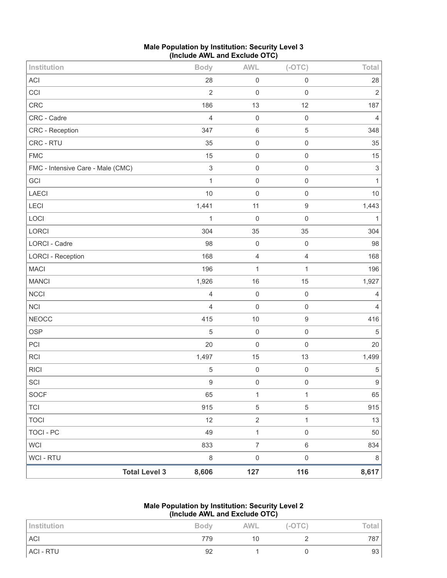| Male Population by Institution: Security Level 3 |  |
|--------------------------------------------------|--|
| (Include AWL and Exclude OTC)                    |  |

| Institution                       |                      | <b>Body</b>               | <b>AWL</b>          | $(-OTC)$            | Total                     |
|-----------------------------------|----------------------|---------------------------|---------------------|---------------------|---------------------------|
| ACI                               |                      | 28                        | $\mathsf{O}\xspace$ | $\mathsf 0$         | 28                        |
| CCI                               |                      | $\overline{2}$            | $\mathbf 0$         | $\mathbf 0$         | $\sqrt{2}$                |
| CRC                               |                      | 186                       | 13                  | 12                  | 187                       |
| CRC - Cadre                       |                      | $\overline{4}$            | $\mathbf 0$         | $\mathbf 0$         | $\overline{4}$            |
| CRC - Reception                   |                      | 347                       | $\,6\,$             | $\sqrt{5}$          | 348                       |
| CRC - RTU                         |                      | 35                        | $\mathbf 0$         | $\mathbf 0$         | 35                        |
| <b>FMC</b>                        |                      | 15                        | $\mathbf 0$         | $\mathbf 0$         | 15                        |
| FMC - Intensive Care - Male (CMC) |                      | $\ensuremath{\mathsf{3}}$ | $\mathbf 0$         | $\mathbf 0$         | $\ensuremath{\mathsf{3}}$ |
| GCI                               |                      | $\mathbf{1}$              | $\mathbf 0$         | $\mathbf 0$         | $\mathbf{1}$              |
| LAECI                             |                      | 10                        | $\mathbf 0$         | $\mathbf 0$         | $10$                      |
| LECI                              |                      | 1,441                     | 11                  | $\boldsymbol{9}$    | 1,443                     |
| LOCI                              |                      | 1                         | $\mathbf 0$         | $\mathbf 0$         | $\mathbf{1}$              |
| LORCI                             |                      | 304                       | 35                  | 35                  | 304                       |
| LORCI - Cadre                     |                      | 98                        | $\mathbf 0$         | $\mathbf 0$         | 98                        |
| <b>LORCI - Reception</b>          |                      | 168                       | $\overline{4}$      | $\overline{4}$      | 168                       |
| <b>MACI</b>                       |                      | 196                       | $\mathbf{1}$        | 1                   | 196                       |
| <b>MANCI</b>                      |                      | 1,926                     | 16                  | 15                  | 1,927                     |
| NCCI                              |                      | $\overline{4}$            | $\mathbf 0$         | $\mathsf 0$         | 4                         |
| <b>NCI</b>                        |                      | $\overline{4}$            | $\mathbf 0$         | $\mathbf 0$         | $\overline{4}$            |
| <b>NEOCC</b>                      |                      | 415                       | 10                  | $\boldsymbol{9}$    | 416                       |
| <b>OSP</b>                        |                      | 5                         | $\mathsf 0$         | $\mathsf 0$         | $\sqrt{5}$                |
| PCI                               |                      | 20                        | $\mathbf 0$         | $\mathbf 0$         | 20                        |
| RCI                               |                      | 1,497                     | 15                  | 13                  | 1,499                     |
| <b>RICI</b>                       |                      | 5                         | $\mathbf 0$         | $\mathbf 0$         | $\,$ 5 $\,$               |
| SCI                               |                      | $\boldsymbol{9}$          | $\mathbf 0$         | $\mathbf 0$         | $\boldsymbol{9}$          |
| SOCF                              |                      | 65                        | $\mathbf{1}$        | $\mathbf{1}$        | 65                        |
| TCI                               |                      | 915                       | $\,$ 5 $\,$         | $\,$ 5 $\,$         | 915                       |
| <b>TOCI</b>                       |                      | 12                        | $\overline{2}$      | $\mathbf{1}$        | 13                        |
| <b>TOCI - PC</b>                  |                      | 49                        | $\mathbf{1}$        | $\mathsf{O}\xspace$ | 50                        |
| <b>WCI</b>                        |                      | 833                       | $\overline{7}$      | $\,6\,$             | 834                       |
| <b>WCI-RTU</b>                    |                      | $\,8\,$                   | $\mathsf{O}\xspace$ | $\mathsf 0$         | $\,8\,$                   |
|                                   | <b>Total Level 3</b> | 8,606                     | 127                 | 116                 | 8,617                     |

#### **Male Population by Institution: Security Level 2 (Include AWL and Exclude OTC)**

| Institution | <b>Body</b> | <b>AWL</b> | $(-OTC)$ | Total |
|-------------|-------------|------------|----------|-------|
| <b>ACI</b>  | 779         | 10         |          | 787   |
| ACI - RTU   | 92          |            |          | 93    |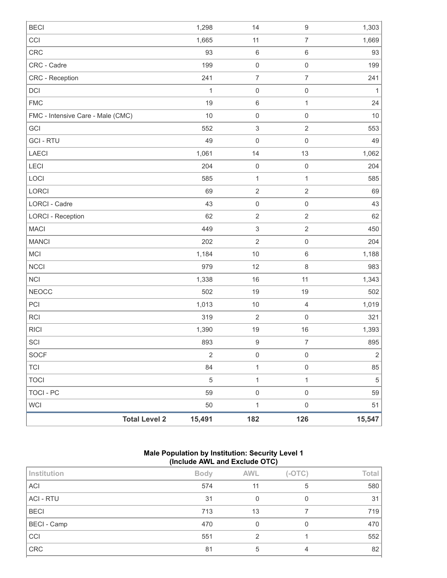| <b>BECI</b>                       |                      | 1,298        | 14                        | $\boldsymbol{9}$    | 1,303        |
|-----------------------------------|----------------------|--------------|---------------------------|---------------------|--------------|
| CCI                               |                      | 1,665        | 11                        | $\overline{7}$      | 1,669        |
| CRC                               |                      | 93           | $\,6\,$                   | $\,6\,$             | 93           |
| CRC - Cadre                       |                      | 199          | $\mathbf 0$               | $\mathbf 0$         | 199          |
| CRC - Reception                   |                      | 241          | $\boldsymbol{7}$          | $\overline{7}$      | 241          |
| DCI                               |                      | $\mathbf{1}$ | $\mathsf{O}\xspace$       | $\mathsf{O}\xspace$ | $\mathbf{1}$ |
| <b>FMC</b>                        |                      | 19           | $\,6\,$                   | $\mathbf{1}$        | 24           |
| FMC - Intensive Care - Male (CMC) |                      | 10           | $\mathsf 0$               | $\mathbf 0$         | 10           |
| GCI                               |                      | 552          | $\ensuremath{\mathsf{3}}$ | $\overline{2}$      | 553          |
| <b>GCI - RTU</b>                  |                      | 49           | $\mathbf 0$               | $\mathbf 0$         | 49           |
| LAECI                             |                      | 1,061        | 14                        | 13                  | 1,062        |
| LECI                              |                      | 204          | $\mathbf 0$               | $\mathbf 0$         | 204          |
| LOCI                              |                      | 585          | $\mathbf{1}$              | $\mathbf{1}$        | 585          |
| LORCI                             |                      | 69           | $\sqrt{2}$                | $\overline{2}$      | 69           |
| LORCI - Cadre                     |                      | 43           | $\mathbf 0$               | $\mathbf 0$         | 43           |
| <b>LORCI - Reception</b>          |                      | 62           | $\overline{2}$            | $\sqrt{2}$          | 62           |
| <b>MACI</b>                       |                      | 449          | $\ensuremath{\mathsf{3}}$ | $\overline{2}$      | 450          |
| <b>MANCI</b>                      |                      | 202          | $\sqrt{2}$                | $\mathbf 0$         | 204          |
| MCI                               |                      | 1,184        | $10$                      | $\,6\,$             | 1,188        |
| <b>NCCI</b>                       |                      | 979          | 12                        | $\,8\,$             | 983          |
| <b>NCI</b>                        |                      | 1,338        | 16                        | 11                  | 1,343        |
| <b>NEOCC</b>                      |                      | 502          | 19                        | 19                  | 502          |
| PCI                               |                      | 1,013        | $10$                      | $\sqrt{4}$          | 1,019        |
| <b>RCI</b>                        |                      | 319          | $\sqrt{2}$                | $\mathbf 0$         | 321          |
| <b>RICI</b>                       |                      | 1,390        | 19                        | 16                  | 1,393        |
| SCI                               |                      | 893          | $\hbox{9}$                | $\boldsymbol{7}$    | 895          |
| <b>SOCF</b>                       |                      | $\sqrt{2}$   | $\mathsf 0$               | $\mathbf 0$         | $\mathbf{2}$ |
| <b>TCI</b>                        |                      | 84           | $\mathbf{1}$              | $\mathsf{O}\xspace$ | 85           |
| <b>TOCI</b>                       |                      | $\sqrt{5}$   | $\mathbf{1}$              | $\mathbf{1}$        | $\sqrt{5}$   |
| <b>TOCI - PC</b>                  |                      | 59           | $\mathsf{O}\xspace$       | $\mathsf{O}\xspace$ | 59           |
| <b>WCI</b>                        |                      | 50           | $\mathbf{1}$              | $\mathsf{O}\xspace$ | 51           |
|                                   | <b>Total Level 2</b> | 15,491       | 182                       | 126                 | 15,547       |

# **Male Population by Institution: Security Level 1 (Include AWL and Exclude OTC)**

| Institution        | <b>Body</b> | <b>AWL</b> | $(-OTC)$ | <b>Total</b> |
|--------------------|-------------|------------|----------|--------------|
| <b>ACI</b>         | 574         | 11         | 5        | 580          |
| <b>ACI - RTU</b>   | 31          | 0          | 0        | 31           |
| <b>BECI</b>        | 713         | 13         |          | 719          |
| <b>BECI - Camp</b> | 470         | 0          | 0        | 470          |
| CCI                | 551         | っ          |          | 552          |
| <b>CRC</b>         | 81          | 5          | 4        | 82           |